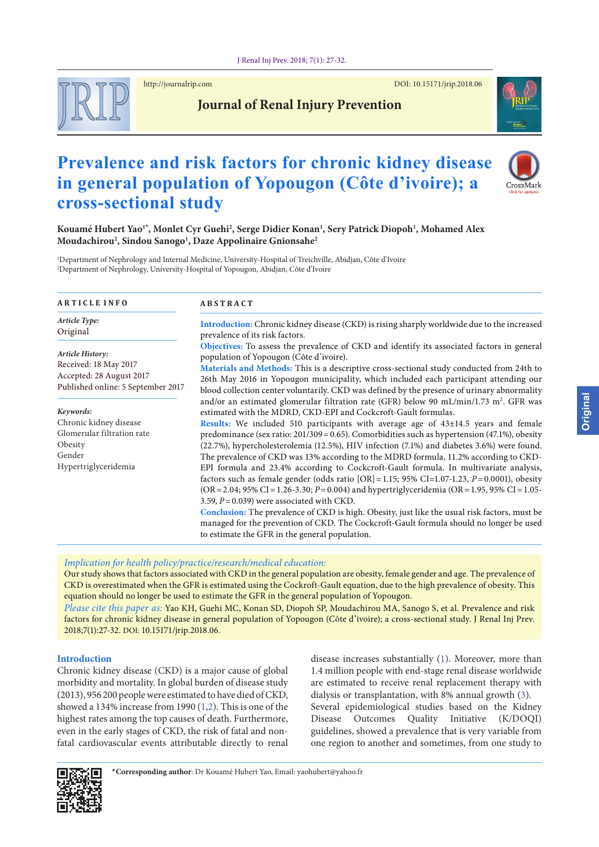

http://journalrip.com DOI: [10.15171/jrip.2018.0](https://doi.org/10.15171/jrip.2018.06)6



# **Journal of Renal Injury Prevention**

# **Prevalence and risk factors for chronic kidney disease in general population of Yopougon (Côte d'ivoire); a cross-sectional study**



**Kouamé Hubert Yao1\* , Monlet Cyr Guehi2 , Serge Didier Konan1 , Sery Patrick Diopoh1 , Mohamed Alex Moudachirou2 , Sindou Sanogo1 , Daze Appolinaire Gnionsahe2**

1 Department of Nephrology and Internal Medicine, University-Hospital of Treichville, Abidjan, Côte d'Ivoire 2 Department of Nephrology, University-Hospital of Yopougon, Abidjan, Côte d'Ivoire

| <b>ARTICLE INFO</b>                                                                                                | <b>ABSTRACT</b>                                                                                                                                                                                                                                                                                                                                                                                                                                                                                                                                                                                                                                                                                                                                                                                                                                                                                                                                                                                                                                                                                                                                                     |  |  |  |  |
|--------------------------------------------------------------------------------------------------------------------|---------------------------------------------------------------------------------------------------------------------------------------------------------------------------------------------------------------------------------------------------------------------------------------------------------------------------------------------------------------------------------------------------------------------------------------------------------------------------------------------------------------------------------------------------------------------------------------------------------------------------------------------------------------------------------------------------------------------------------------------------------------------------------------------------------------------------------------------------------------------------------------------------------------------------------------------------------------------------------------------------------------------------------------------------------------------------------------------------------------------------------------------------------------------|--|--|--|--|
| Article Type:<br>Original                                                                                          | Introduction: Chronic kidney disease (CKD) is rising sharply worldwide due to the increased<br>prevalence of its risk factors.                                                                                                                                                                                                                                                                                                                                                                                                                                                                                                                                                                                                                                                                                                                                                                                                                                                                                                                                                                                                                                      |  |  |  |  |
| <b>Article History:</b><br>Received: 18 May 2017<br>Accepted: 28 August 2017<br>Published online: 5 September 2017 | Objectives: To assess the prevalence of CKD and identify its associated factors in general<br>population of Yopougon (Côte d'ivoire).<br>Materials and Methods: This is a descriptive cross-sectional study conducted from 24th to<br>26th May 2016 in Yopougon municipality, which included each participant attending our<br>blood collection center voluntarily. CKD was defined by the presence of urinary abnormality                                                                                                                                                                                                                                                                                                                                                                                                                                                                                                                                                                                                                                                                                                                                          |  |  |  |  |
| Keywords:<br>Chronic kidney disease<br>Glomerular filtration rate<br>Obesity<br>Gender<br>Hypertriglyceridemia     | and/or an estimated glomerular filtration rate (GFR) below 90 mL/min/1.73 m <sup>2</sup> . GFR was<br>estimated with the MDRD, CKD-EPI and Cockcroft-Gault formulas.<br>Results: We included 510 participants with average age of $43\pm14.5$ years and female<br>predominance (sex ratio: $201/309 = 0.65$ ). Comorbidities such as hypertension (47.1%), obesity<br>(22.7%), hypercholesterolemia (12.5%), HIV infection (7.1%) and diabetes 3.6%) were found.<br>The prevalence of CKD was 13% according to the MDRD formula, 11.2% according to CKD-<br>EPI formula and 23.4% according to Cockcroft-Gault formula. In multivariate analysis,<br>factors such as female gender (odds ratio $[OR] = 1.15$ ; 95% CI=1.07-1.23, P=0.0001), obesity<br>$(OR = 2.04; 95\% CI = 1.26 - 3.30; P = 0.004)$ and hypertriglyceridemia $(OR = 1.95, 95\% CI = 1.05 - 1.05)$<br>3.59, $P = 0.039$ ) were associated with CKD.<br>Conclusion: The prevalence of CKD is high. Obesity, just like the usual risk factors, must be<br>managed for the prevention of CKD. The Cockcroft-Gault formula should no longer be used<br>to estimate the GFR in the general population. |  |  |  |  |

Our study shows that factors associated with CKD in the general population are obesity, female gender and age. The prevalence of CKD is overestimated when the GFR is estimated using the Cockroft-Gault equation, due to the high prevalence of obesity. This equation should no longer be used to estimate the GFR in the general population of Yopougon.

*Please cite this paper as:* Yao KH, Guehi MC, Konan SD, Diopoh SP, Moudachirou MA, Sanogo S, et al. Prevalence and risk factors for chronic kidney disease in general population of Yopougon (Côte d'ivoire); a cross-sectional study. J Renal Inj Prev. 2018;7(1):27-32. DOI: 10.15171/jrip.2018.06.

# **Introduction**

Chronic kidney disease (CKD) is a major cause of global morbidity and mortality. In global burden of disease study (2013), 956 200 people were estimated to have died of CKD, showed a 134% increase from 1990 ([1,](#page-4-0)[2\)](#page-4-1). This is one of the highest rates among the top causes of death. Furthermore, even in the early stages of CKD, the risk of fatal and nonfatal cardiovascular events attributable directly to renal disease increases substantially ([1\)](#page-4-0). Moreover, more than 1.4 million people with end-stage renal disease worldwide are estimated to receive renal replacement therapy with dialysis or transplantation, with 8% annual growth ([3\)](#page-4-2).

Several epidemiological studies based on the Kidney Disease Outcomes Quality Initiative (K/DOQI) guidelines, showed a prevalence that is very variable from one region to another and sometimes, from one study to

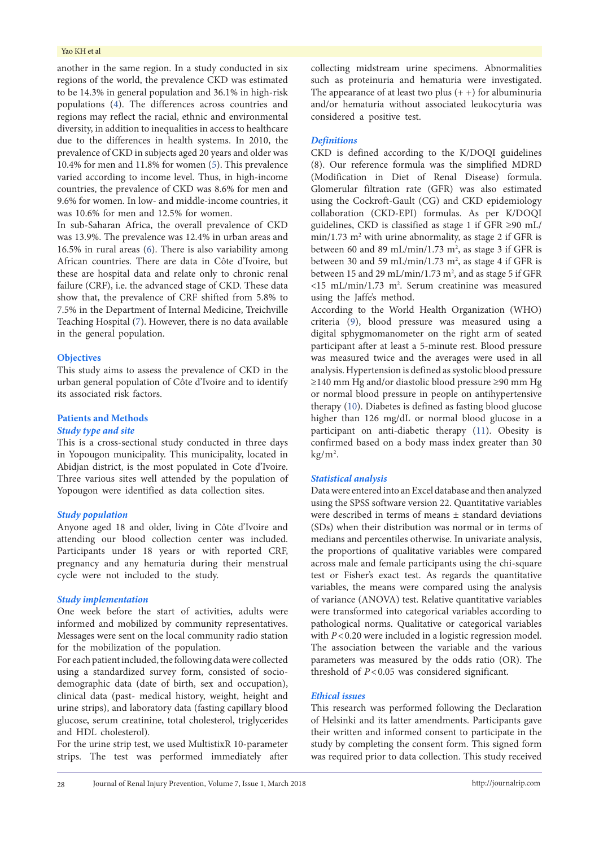#### Yao KH et al

another in the same region. In a study conducted in six regions of the world, the prevalence CKD was estimated to be 14.3% in general population and 36.1% in high-risk populations ([4\)](#page-4-3). The differences across countries and regions may reflect the racial, ethnic and environmental diversity, in addition to inequalities in access to healthcare due to the differences in health systems. In 2010, the prevalence of CKD in subjects aged 20 years and older was 10.4% for men and 11.8% for women [\(5](#page-4-4)). This prevalence varied according to income level. Thus, in high-income countries, the prevalence of CKD was 8.6% for men and 9.6% for women. In low- and middle-income countries, it was 10.6% for men and 12.5% for women.

In sub-Saharan Africa, the overall prevalence of CKD was 13.9%. The prevalence was 12.4% in urban areas and 16.5% in rural areas ([6\)](#page-4-5). There is also variability among African countries. There are data in Côte d'Ivoire, but these are hospital data and relate only to chronic renal failure (CRF), i.e. the advanced stage of CKD. These data show that, the prevalence of CRF shifted from 5.8% to 7.5% in the Department of Internal Medicine, Treichville Teaching Hospital ([7\)](#page-4-6). However, there is no data available in the general population.

#### **Objectives**

This study aims to assess the prevalence of CKD in the urban general population of Côte d'Ivoire and to identify its associated risk factors.

# **Patients and Methods**

# *Study type and site*

This is a cross-sectional study conducted in three days in Yopougon municipality. This municipality, located in Abidjan district, is the most populated in Cote d'Ivoire. Three various sites well attended by the population of Yopougon were identified as data collection sites.

# *Study population*

Anyone aged 18 and older, living in Côte d'Ivoire and attending our blood collection center was included. Participants under 18 years or with reported CRF, pregnancy and any hematuria during their menstrual cycle were not included to the study.

# *Study implementation*

One week before the start of activities, adults were informed and mobilized by community representatives. Messages were sent on the local community radio station for the mobilization of the population.

For each patient included, the following data were collected using a standardized survey form, consisted of sociodemographic data (date of birth, sex and occupation), clinical data (past- medical history, weight, height and urine strips), and laboratory data (fasting capillary blood glucose, serum creatinine, total cholesterol, triglycerides and HDL cholesterol).

For the urine strip test, we used MultistixR 10-parameter strips. The test was performed immediately after

collecting midstream urine specimens. Abnormalities such as proteinuria and hematuria were investigated. The appearance of at least two plus  $(+)$  for albuminuria and/or hematuria without associated leukocyturia was considered a positive test.

## *Definitions*

CKD is defined according to the K/DOQI guidelines (8). Our reference formula was the simplified MDRD (Modification in Diet of Renal Disease) formula. Glomerular filtration rate (GFR) was also estimated using the Cockroft-Gault (CG) and CKD epidemiology collaboration (CKD-EPI) formulas. As per K/DOQI guidelines, CKD is classified as stage 1 if GFR ≥90 mL/ min/1.73 m<sup>2</sup> with urine abnormality, as stage 2 if GFR is between 60 and 89 mL/min/1.73  $m^2$ , as stage 3 if GFR is between 30 and 59 mL/min/1.73  $m^2$ , as stage 4 if GFR is between 15 and 29 mL/min/1.73  $m^2$ , and as stage 5 if GFR  $<$ 15 mL/min/1.73 m<sup>2</sup>. Serum creatinine was measured using the Jaffe's method.

According to the World Health Organization (WHO) criteria [\(9](#page-5-0)), blood pressure was measured using a digital sphygmomanometer on the right arm of seated participant after at least a 5-minute rest. Blood pressure was measured twice and the averages were used in all analysis. Hypertension is defined as systolic blood pressure ≥140 mm Hg and/or diastolic blood pressure ≥90 mm Hg or normal blood pressure in people on antihypertensive therapy [\(10\)](#page-5-1). Diabetes is defined as fasting blood glucose higher than 126 mg/dL or normal blood glucose in a participant on anti-diabetic therapy [\(11\)](#page-5-2). Obesity is confirmed based on a body mass index greater than 30  $\text{kg/m}^2$ .

#### *Statistical analysis*

Data were entered into an Excel database and then analyzed using the SPSS software version 22. Quantitative variables were described in terms of means ± standard deviations (SDs) when their distribution was normal or in terms of medians and percentiles otherwise. In univariate analysis, the proportions of qualitative variables were compared across male and female participants using the chi-square test or Fisher's exact test. As regards the quantitative variables, the means were compared using the analysis of variance (ANOVA) test. Relative quantitative variables were transformed into categorical variables according to pathological norms. Qualitative or categorical variables with *P*<0.20 were included in a logistic regression model. The association between the variable and the various parameters was measured by the odds ratio (OR). The threshold of *P*<0.05 was considered significant.

#### *Ethical issues*

This research was performed following the Declaration of Helsinki and its latter amendments. Participants gave their written and informed consent to participate in the study by completing the consent form. This signed form was required prior to data collection. This study received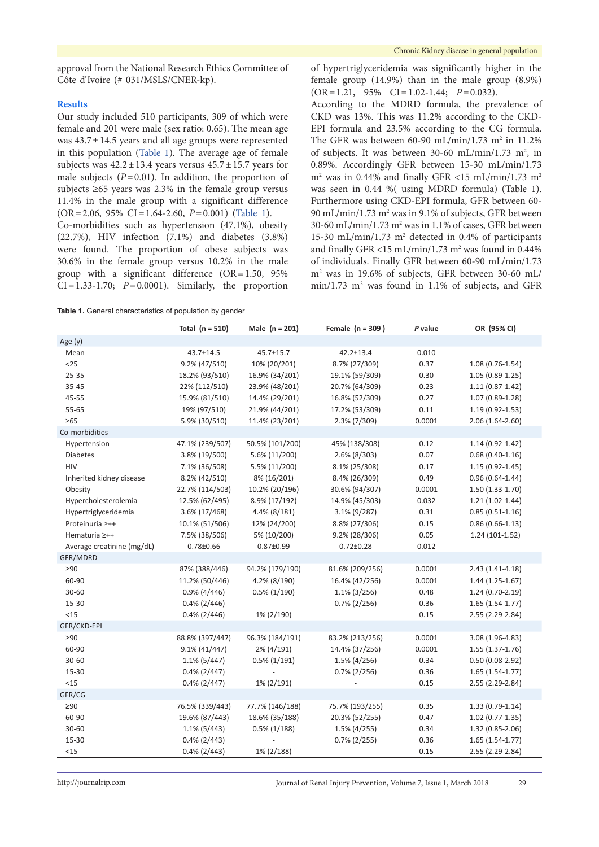approval from the National Research Ethics Committee of Côte d'Ivoire (# 031/MSLS/CNER-kp).

# **Results**

Our study included 510 participants, 309 of which were female and 201 were male (sex ratio: 0.65). The mean age was  $43.7 \pm 14.5$  years and all age groups were represented in this population [\(Table](#page-2-0) 1). The average age of female subjects was  $42.2 \pm 13.4$  years versus  $45.7 \pm 15.7$  years for male subjects  $(P=0.01)$ . In addition, the proportion of subjects ≥65 years was 2.3% in the female group versus 11.4% in the male group with a significant difference (OR=2.06, 95% CI=1.64-2.60, *P*=0.001) [\(Table](#page-2-0) 1).

Co-morbidities such as hypertension (47.1%), obesity (22.7%), HIV infection (7.1%) and diabetes (3.8%) were found. The proportion of obese subjects was 30.6% in the female group versus 10.2% in the male group with a significant difference (OR=1.50, 95%  $CI = 1.33 - 1.70$ ;  $P = 0.0001$ ). Similarly, the proportion

<span id="page-2-0"></span>**Table 1.** General characteristics of population by gender

of hypertriglyceridemia was significantly higher in the female group (14.9%) than in the male group (8.9%) (OR=1.21, 95% CI=1.02-1.44; *P*=0.032).

According to the MDRD formula, the prevalence of CKD was 13%. This was 11.2% according to the CKD-EPI formula and 23.5% according to the CG formula. The GFR was between 60-90 mL/min/1.73 m<sup>2</sup> in 11.2% of subjects. It was between  $30-60$  mL/min/1.73 m<sup>2</sup>, in 0.89%. Accordingly GFR between 15-30 mL/min/1.73  $m<sup>2</sup>$  was in 0.44% and finally GFR <15 mL/min/1.73 m<sup>2</sup> was seen in 0.44 %( using MDRD formula) (Table 1). Furthermore using CKD-EPI formula, GFR between 60- 90 mL/min/1.73 m<sup>2</sup> was in 9.1% of subjects, GFR between 30-60 mL/min/1.73  $m^2$  was in 1.1% of cases, GFR between 15-30 mL/min/1.73 m2 detected in 0.4% of participants and finally GFR <15 mL/min/1.73 m<sup>2</sup> was found in 0.44% of individuals. Finally GFR between 60-90 mL/min/1.73 m2 was in 19.6% of subjects, GFR between 30-60 mL/ min/1.73 m<sup>2</sup> was found in 1.1% of subjects, and GFR

|                            | Total $(n = 510)$ | Male $(n = 201)$ | Female $(n = 309)$ | P value | OR (95% CI)         |
|----------------------------|-------------------|------------------|--------------------|---------|---------------------|
| Age (y)                    |                   |                  |                    |         |                     |
| Mean                       | 43.7±14.5         | 45.7±15.7        | $42.2 \pm 13.4$    | 0.010   |                     |
| $25$                       | 9.2% (47/510)     | 10% (20/201)     | 8.7% (27/309)      | 0.37    | $1.08(0.76-1.54)$   |
| 25-35                      | 18.2% (93/510)    | 16.9% (34/201)   | 19.1% (59/309)     | 0.30    | $1.05(0.89-1.25)$   |
| 35-45                      | 22% (112/510)     | 23.9% (48/201)   | 20.7% (64/309)     | 0.23    | $1.11(0.87 - 1.42)$ |
| 45-55                      | 15.9% (81/510)    | 14.4% (29/201)   | 16.8% (52/309)     | 0.27    | 1.07 (0.89-1.28)    |
| 55-65                      | 19% (97/510)      | 21.9% (44/201)   | 17.2% (53/309)     | 0.11    | $1.19(0.92 - 1.53)$ |
| $\geq 65$                  | 5.9% (30/510)     | 11.4% (23/201)   | 2.3% (7/309)       | 0.0001  | $2.06(1.64-2.60)$   |
| Co-morbidities             |                   |                  |                    |         |                     |
| Hypertension               | 47.1% (239/507)   | 50.5% (101/200)  | 45% (138/308)      | 0.12    | $1.14(0.92 - 1.42)$ |
| <b>Diabetes</b>            | 3.8% (19/500)     | 5.6% (11/200)    | 2.6% (8/303)       | 0.07    | $0.68(0.40-1.16)$   |
| HIV                        | 7.1% (36/508)     | 5.5% (11/200)    | 8.1% (25/308)      | 0.17    | $1.15(0.92 - 1.45)$ |
| Inherited kidney disease   | 8.2% (42/510)     | 8% (16/201)      | 8.4% (26/309)      | 0.49    | $0.96(0.64 - 1.44)$ |
| Obesity                    | 22.7% (114/503)   | 10.2% (20/196)   | 30.6% (94/307)     | 0.0001  | $1.50(1.33-1.70)$   |
| Hypercholesterolemia       | 12.5% (62/495)    | 8.9% (17/192)    | 14.9% (45/303)     | 0.032   | $1.21(1.02-1.44)$   |
| Hypertriglyceridemia       | 3.6% (17/468)     | 4.4% (8/181)     | $3.1\% (9/287)$    | 0.31    | $0.85(0.51 - 1.16)$ |
| Proteinuria ≥++            | 10.1% (51/506)    | 12% (24/200)     | 8.8% (27/306)      | 0.15    | $0.86(0.66-1.13)$   |
| Hematuria ≥++              | 7.5% (38/506)     | 5% (10/200)      | 9.2% (28/306)      | 0.05    | $1.24(101-1.52)$    |
| Average creatinine (mg/dL) | $0.78 + 0.66$     | $0.87 + 0.99$    | $0.72 \pm 0.28$    | 0.012   |                     |
| GFR/MDRD                   |                   |                  |                    |         |                     |
| $\geq 90$                  | 87% (388/446)     | 94.2% (179/190)  | 81.6% (209/256)    | 0.0001  | $2.43(1.41 - 4.18)$ |
| 60-90                      | 11.2% (50/446)    | 4.2% (8/190)     | 16.4% (42/256)     | 0.0001  | $1.44(1.25-1.67)$   |
| 30-60                      | $0.9\%$ (4/446)   | $0.5\%$ (1/190)  | $1.1\%$ (3/256)    | 0.48    | $1.24(0.70-2.19)$   |
| 15-30                      | $0.4\%$ (2/446)   |                  | $0.7\%$ (2/256)    | 0.36    | $1.65(1.54-1.77)$   |
| <15                        | $0.4\%$ (2/446)   | 1% (2/190)       |                    | 0.15    | 2.55 (2.29-2.84)    |
| GFR/CKD-EPI                |                   |                  |                    |         |                     |
| $\geq 90$                  | 88.8% (397/447)   | 96.3% (184/191)  | 83.2% (213/256)    | 0.0001  | 3.08 (1.96-4.83)    |
| 60-90                      | $9.1\% (41/447)$  | 2% (4/191)       | 14.4% (37/256)     | 0.0001  | $1.55(1.37-1.76)$   |
| $30 - 60$                  | $1.1\%$ (5/447)   | $0.5\%$ (1/191)  | 1.5% (4/256)       | 0.34    | $0.50(0.08-2.92)$   |
| 15-30                      | $0.4\%$ (2/447)   |                  | $0.7\%$ (2/256)    | 0.36    | $1.65(1.54-1.77)$   |
| $<15$                      | $0.4\%$ (2/447)   | 1% (2/191)       |                    | 0.15    | 2.55 (2.29-2.84)    |
| GFR/CG                     |                   |                  |                    |         |                     |
| $\geq 90$                  | 76.5% (339/443)   | 77.7% (146/188)  | 75.7% (193/255)    | 0.35    | $1.33(0.79-1.14)$   |
| 60-90                      | 19.6% (87/443)    | 18.6% (35/188)   | 20.3% (52/255)     | 0.47    | $1.02(0.77-1.35)$   |
| 30-60                      | $1.1\%$ (5/443)   | $0.5\%$ (1/188)  | $1.5\%$ (4/255)    | 0.34    | 1.32 (0.85-2.06)    |
| 15-30                      | $0.4\%$ (2/443)   |                  | $0.7\% (2/255)$    | 0.36    | $1.65(1.54-1.77)$   |
| <15                        | $0.4\%$ (2/443)   | 1% (2/188)       |                    | 0.15    | 2.55 (2.29-2.84)    |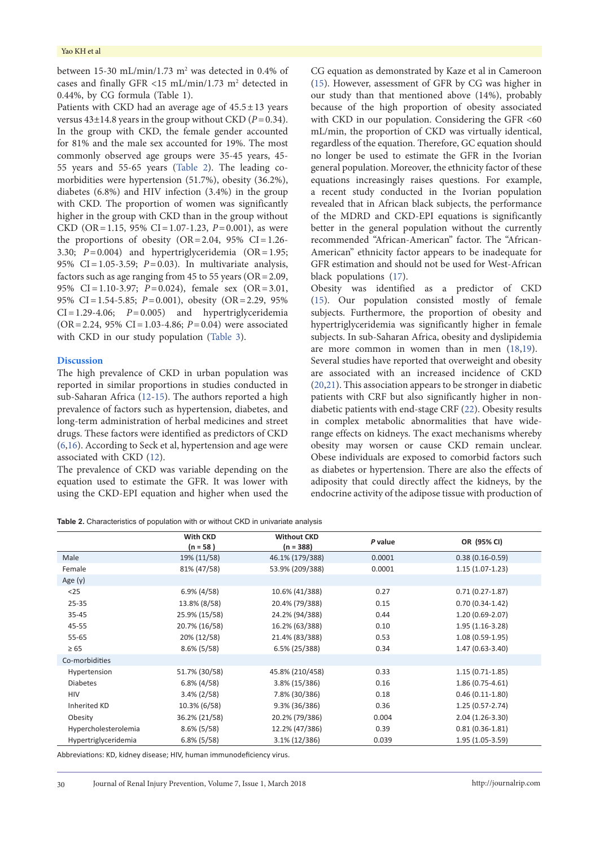#### Yao KH et al

between  $15-30$  mL/min/1.73 m<sup>2</sup> was detected in 0.4% of cases and finally GFR <15 mL/min/1.73  $m<sup>2</sup>$  detected in 0.44%, by CG formula (Table 1).

Patients with CKD had an average age of  $45.5 \pm 13$  years versus  $43\pm14.8$  years in the group without CKD ( $P=0.34$ ). In the group with CKD, the female gender accounted for 81% and the male sex accounted for 19%. The most commonly observed age groups were 35-45 years, 45- 55 years and 55-65 years [\(Table](#page-3-0) 2). The leading comorbidities were hypertension (51.7%), obesity (36.2%), diabetes (6.8%) and HIV infection (3.4%) in the group with CKD. The proportion of women was significantly higher in the group with CKD than in the group without CKD (OR=1.15, 95% CI=1.07-1.23, *P*=0.001), as were the proportions of obesity  $(OR = 2.04, 95\% \text{ CI} = 1.26$ -3.30; *P*=0.004) and hypertriglyceridemia (OR=1.95; 95% CI=1.05-3.59; *P*=0.03). In multivariate analysis, factors such as age ranging from 45 to 55 years (OR=2.09, 95% CI=1.10-3.97; *P*=0.024), female sex (OR=3.01, 95% CI=1.54-5.85; *P*=0.001), obesity (OR=2.29, 95%  $CI = 1.29 - 4.06$ ;  $P = 0.005$ ) and hypertriglyceridemia (OR=2.24, 95% CI=1.03-4.86; *P*=0.04) were associated with CKD in our study population [\(Table](#page-4-7) 3).

#### **Discussion**

The high prevalence of CKD in urban population was reported in similar proportions in studies conducted in sub-Saharan Africa ([12](#page-5-3)-[15](#page-5-4)). The authors reported a high prevalence of factors such as hypertension, diabetes, and long-term administration of herbal medicines and street drugs. These factors were identified as predictors of CKD [\(6](#page-4-5)[,16\)](#page-5-5). According to Seck et al, hypertension and age were associated with CKD ([12](#page-5-3)).

The prevalence of CKD was variable depending on the equation used to estimate the GFR. It was lower with using the CKD-EPI equation and higher when used the

CG equation as demonstrated by Kaze et al in Cameroon [\(15](#page-5-4)). However, assessment of GFR by CG was higher in our study than that mentioned above (14%), probably because of the high proportion of obesity associated with CKD in our population. Considering the GFR <60 mL/min, the proportion of CKD was virtually identical, regardless of the equation. Therefore, GC equation should no longer be used to estimate the GFR in the Ivorian general population. Moreover, the ethnicity factor of these equations increasingly raises questions. For example, a recent study conducted in the Ivorian population revealed that in African black subjects, the performance of the MDRD and CKD-EPI equations is significantly better in the general population without the currently recommended "African-American" factor. The "African-American" ethnicity factor appears to be inadequate for GFR estimation and should not be used for West-African black populations [\(17\)](#page-5-6).

Obesity was identified as a predictor of CKD [\(15](#page-5-4)). Our population consisted mostly of female subjects. Furthermore, the proportion of obesity and hypertriglyceridemia was significantly higher in female subjects. In sub-Saharan Africa, obesity and dyslipidemia are more common in women than in men [\(18,](#page-5-7)[19\)](#page-5-8). Several studies have reported that overweight and obesity are associated with an increased incidence of CKD [\(20](#page-5-9)[,21\)](#page-5-10). This association appears to be stronger in diabetic patients with CRF but also significantly higher in nondiabetic patients with end-stage CRF ([22](#page-5-11)). Obesity results in complex metabolic abnormalities that have widerange effects on kidneys. The exact mechanisms whereby obesity may worsen or cause CKD remain unclear. Obese individuals are exposed to comorbid factors such as diabetes or hypertension. There are also the effects of adiposity that could directly affect the kidneys, by the endocrine activity of the adipose tissue with production of

<span id="page-3-0"></span>**Table 2.** Characteristics of population with or without CKD in univariate analysis

|                      | With CKD<br>$(n = 58)$ | <b>Without CKD</b><br>$(n = 388)$ | P value | OR (95% CI)       |
|----------------------|------------------------|-----------------------------------|---------|-------------------|
| Male                 | 19% (11/58)            | 46.1% (179/388)                   | 0.0001  | $0.38(0.16-0.59)$ |
| Female               | 81% (47/58)            | 53.9% (209/388)                   | 0.0001  | $1.15(1.07-1.23)$ |
| Age $(y)$            |                        |                                   |         |                   |
| $25$                 | $6.9\%$ (4/58)         | 10.6% (41/388)                    | 0.27    | $0.71(0.27-1.87)$ |
| $25 - 35$            | 13.8% (8/58)           | 20.4% (79/388)                    | 0.15    | $0.70(0.34-1.42)$ |
| 35-45                | 25.9% (15/58)          | 24.2% (94/388)                    | 0.44    | $1.20(0.69-2.07)$ |
| 45-55                | 20.7% (16/58)          | 16.2% (63/388)                    | 0.10    | $1.95(1.16-3.28)$ |
| 55-65                | 20% (12/58)            | 21.4% (83/388)                    | 0.53    | $1.08(0.59-1.95)$ |
| $\geq 65$            | $8.6\%$ (5/58)         | 6.5% (25/388)                     | 0.34    | $1.47(0.63-3.40)$ |
| Co-morbidities       |                        |                                   |         |                   |
| Hypertension         | 51.7% (30/58)          | 45.8% (210/458)                   | 0.33    | $1.15(0.71-1.85)$ |
| <b>Diabetes</b>      | $6.8\%$ (4/58)         | 3.8% (15/386)                     | 0.16    | $1.86(0.75-4.61)$ |
| <b>HIV</b>           | $3.4\%$ (2/58)         | 7.8% (30/386)                     | 0.18    | $0.46(0.11-1.80)$ |
| Inherited KD         | 10.3% (6/58)           | 9.3% (36/386)                     | 0.36    | $1.25(0.57-2.74)$ |
| Obesity              | 36.2% (21/58)          | 20.2% (79/386)                    | 0.004   | $2.04(1.26-3.30)$ |
| Hypercholesterolemia | $8.6\%$ (5/58)         | 12.2% (47/386)                    | 0.39    | $0.81(0.36-1.81)$ |
| Hypertriglyceridemia | $6.8\%$ (5/58)         | 3.1% (12/386)                     | 0.039   | $1.95(1.05-3.59)$ |

Abbreviations: KD, kidney disease; HIV, human immunodeficiency virus.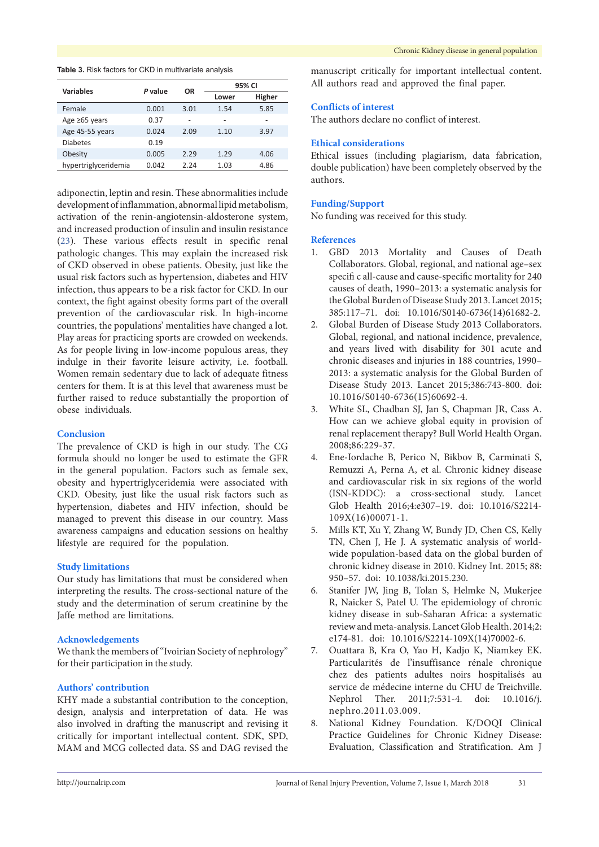#### <span id="page-4-7"></span>**Table 3.** Risk factors for CKD in multivariate analysis

| <b>Variables</b>     | P value | OR   | 95% CI |        |
|----------------------|---------|------|--------|--------|
|                      |         |      | Lower  | Higher |
| Female               | 0.001   | 3.01 | 1.54   | 5.85   |
| Age $\geq 65$ years  | 0.37    | ٠    | -      | ٠      |
| Age 45-55 years      | 0.024   | 2.09 | 1.10   | 3.97   |
| <b>Diabetes</b>      | 0.19    |      |        |        |
| Obesity              | 0.005   | 2.29 | 1.29   | 4.06   |
| hypertriglyceridemia | 0.042   | 2.24 | 1.03   | 4.86   |

adiponectin, leptin and resin. These abnormalities include development of inflammation, abnormal lipid metabolism, activation of the renin-angiotensin-aldosterone system, and increased production of insulin and insulin resistance [\(23\)](#page-5-12). These various effects result in specific renal pathologic changes. This may explain the increased risk of CKD observed in obese patients. Obesity, just like the usual risk factors such as hypertension, diabetes and HIV infection, thus appears to be a risk factor for CKD. In our context, the fight against obesity forms part of the overall prevention of the cardiovascular risk. In high-income countries, the populations' mentalities have changed a lot. Play areas for practicing sports are crowded on weekends. As for people living in low-income populous areas, they indulge in their favorite leisure activity, i.e. football. Women remain sedentary due to lack of adequate fitness centers for them. It is at this level that awareness must be further raised to reduce substantially the proportion of obese individuals.

# **Conclusion**

The prevalence of CKD is high in our study. The CG formula should no longer be used to estimate the GFR in the general population. Factors such as female sex, obesity and hypertriglyceridemia were associated with CKD. Obesity, just like the usual risk factors such as hypertension, diabetes and HIV infection, should be managed to prevent this disease in our country. Mass awareness campaigns and education sessions on healthy lifestyle are required for the population.

### **Study limitations**

Our study has limitations that must be considered when interpreting the results. The cross-sectional nature of the study and the determination of serum creatinine by the Jaffe method are limitations.

### **Acknowledgements**

We thank the members of "Ivoirian Society of nephrology" for their participation in the study.

# **Authors' contribution**

KHY made a substantial contribution to the conception, design, analysis and interpretation of data. He was also involved in drafting the manuscript and revising it critically for important intellectual content. SDK, SPD, MAM and MCG collected data. SS and DAG revised the

manuscript critically for important intellectual content. All authors read and approved the final paper.

# **Conflicts of interest**

The authors declare no conflict of interest.

#### **Ethical considerations**

Ethical issues (including plagiarism, data fabrication, double publication) have been completely observed by the authors.

# **Funding/Support**

No funding was received for this study.

## **References**

- <span id="page-4-0"></span>1. GBD 2013 Mortality and Causes of Death Collaborators. Global, regional, and national age–sex specifi c all-cause and cause-specific mortality for 240 causes of death, 1990–2013: a systematic analysis for the Global Burden of Disease Study 2013. Lancet 2015; 385:117–71. doi: 10.1016/S0140-6736(14)61682-2.
- <span id="page-4-1"></span>2. Global Burden of Disease Study 2013 Collaborators. Global, regional, and national incidence, prevalence, and years lived with disability for 301 acute and chronic diseases and injuries in 188 countries, 1990– 2013: a systematic analysis for the Global Burden of Disease Study 2013. Lancet 2015;386:743-800. doi: 10.1016/S0140-6736(15)60692-4.
- <span id="page-4-2"></span>3. White SL, Chadban SJ, Jan S, Chapman JR, Cass A. How can we achieve global equity in provision of renal replacement therapy? Bull World Health Organ. 2008;86:229-37.
- <span id="page-4-3"></span>4. Ene-Iordache B, Perico N, Bikbov B, Carminati S, Remuzzi A, Perna A, et al. Chronic kidney disease and cardiovascular risk in six regions of the world (ISN-KDDC): a cross-sectional study. Lancet Glob Health 2016;4:e307–19. doi: 10.1016/S2214- 109X(16)00071-1.
- <span id="page-4-4"></span>5. Mills KT, Xu Y, Zhang W, Bundy JD, Chen CS, Kelly TN, Chen J, He J. A systematic analysis of worldwide population-based data on the global burden of chronic kidney disease in 2010. Kidney Int. 2015; 88: 950–57. doi: 10.1038/ki.2015.230.
- <span id="page-4-5"></span>6. Stanifer JW, Jing B, Tolan S, Helmke N, Mukerjee R, Naicker S, Patel U. The epidemiology of chronic kidney disease in sub-Saharan Africa: a systematic review and meta-analysis. Lancet Glob Health. 2014;2: e174-81. doi: 10.1016/S2214-109X(14)70002-6.
- <span id="page-4-6"></span>7. Ouattara B, Kra O, Yao H, Kadjo K, Niamkey EK. Particularités de l'insuffisance rénale chronique chez des patients adultes noirs hospitalisés au service de médecine interne du CHU de Treichville. Nephrol Ther. 2011;7:531-4. doi: 10.1016/j. nephro.2011.03.009.
- 8. National Kidney Foundation. K/DOQI Clinical Practice Guidelines for Chronic Kidney Disease: Evaluation, Classification and Stratification. Am J